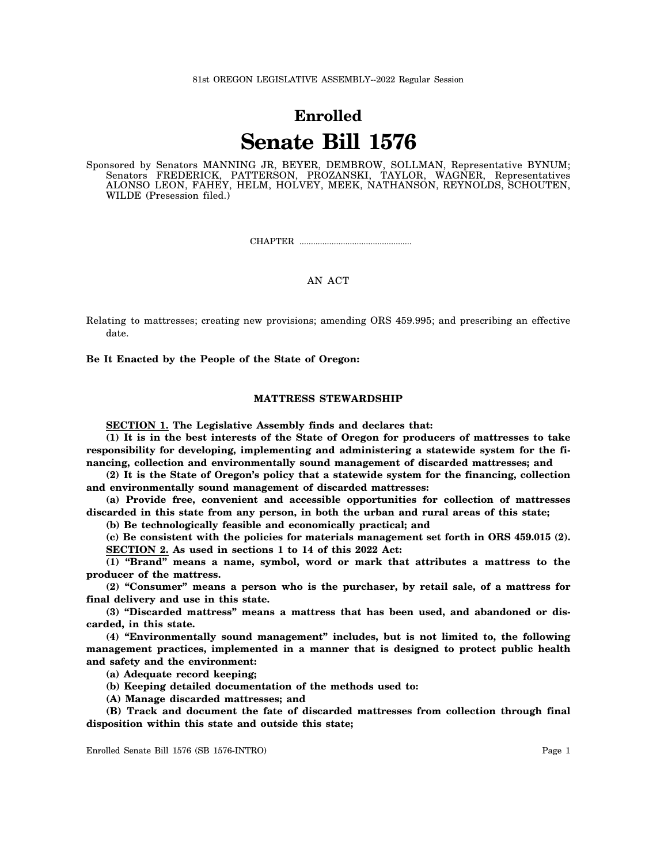# **Enrolled Senate Bill 1576**

Sponsored by Senators MANNING JR, BEYER, DEMBROW, SOLLMAN, Representative BYNUM; Senators FREDERICK, PATTERSON, PROZANSKI, TAYLOR, WAGNER, Representatives ALONSO LEON, FAHEY, HELM, HOLVEY, MEEK, NATHANSON, REYNOLDS, SCHOUTEN, WILDE (Presession filed.)

CHAPTER .................................................

# AN ACT

Relating to mattresses; creating new provisions; amending ORS 459.995; and prescribing an effective date.

**Be It Enacted by the People of the State of Oregon:**

## **MATTRESS STEWARDSHIP**

**SECTION 1. The Legislative Assembly finds and declares that:**

**(1) It is in the best interests of the State of Oregon for producers of mattresses to take responsibility for developing, implementing and administering a statewide system for the financing, collection and environmentally sound management of discarded mattresses; and**

**(2) It is the State of Oregon's policy that a statewide system for the financing, collection and environmentally sound management of discarded mattresses:**

**(a) Provide free, convenient and accessible opportunities for collection of mattresses discarded in this state from any person, in both the urban and rural areas of this state;**

**(b) Be technologically feasible and economically practical; and**

**(c) Be consistent with the policies for materials management set forth in ORS 459.015 (2). SECTION 2. As used in sections 1 to 14 of this 2022 Act:**

**(1) "Brand" means a name, symbol, word or mark that attributes a mattress to the producer of the mattress.**

**(2) "Consumer" means a person who is the purchaser, by retail sale, of a mattress for final delivery and use in this state.**

**(3) "Discarded mattress" means a mattress that has been used, and abandoned or discarded, in this state.**

**(4) "Environmentally sound management" includes, but is not limited to, the following management practices, implemented in a manner that is designed to protect public health and safety and the environment:**

**(a) Adequate record keeping;**

**(b) Keeping detailed documentation of the methods used to:**

**(A) Manage discarded mattresses; and**

**(B) Track and document the fate of discarded mattresses from collection through final disposition within this state and outside this state;**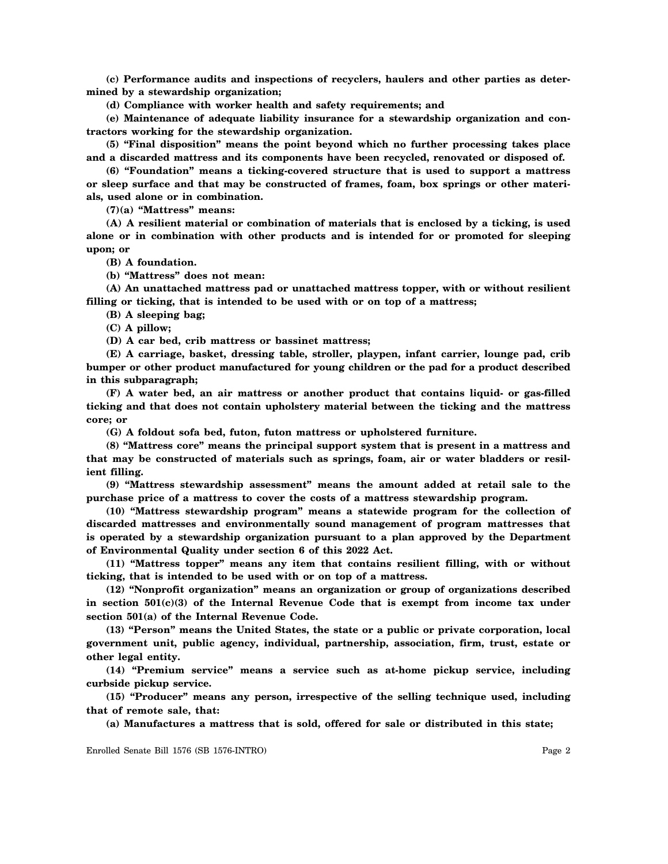**(c) Performance audits and inspections of recyclers, haulers and other parties as determined by a stewardship organization;**

**(d) Compliance with worker health and safety requirements; and**

**(e) Maintenance of adequate liability insurance for a stewardship organization and contractors working for the stewardship organization.**

**(5) "Final disposition" means the point beyond which no further processing takes place and a discarded mattress and its components have been recycled, renovated or disposed of.**

**(6) "Foundation" means a ticking-covered structure that is used to support a mattress or sleep surface and that may be constructed of frames, foam, box springs or other materials, used alone or in combination.**

**(7)(a) "Mattress" means:**

**(A) A resilient material or combination of materials that is enclosed by a ticking, is used alone or in combination with other products and is intended for or promoted for sleeping upon; or**

**(B) A foundation.**

**(b) "Mattress" does not mean:**

**(A) An unattached mattress pad or unattached mattress topper, with or without resilient filling or ticking, that is intended to be used with or on top of a mattress;**

**(B) A sleeping bag;**

**(C) A pillow;**

**(D) A car bed, crib mattress or bassinet mattress;**

**(E) A carriage, basket, dressing table, stroller, playpen, infant carrier, lounge pad, crib bumper or other product manufactured for young children or the pad for a product described in this subparagraph;**

**(F) A water bed, an air mattress or another product that contains liquid- or gas-filled ticking and that does not contain upholstery material between the ticking and the mattress core; or**

**(G) A foldout sofa bed, futon, futon mattress or upholstered furniture.**

**(8) "Mattress core" means the principal support system that is present in a mattress and that may be constructed of materials such as springs, foam, air or water bladders or resilient filling.**

**(9) "Mattress stewardship assessment" means the amount added at retail sale to the purchase price of a mattress to cover the costs of a mattress stewardship program.**

**(10) "Mattress stewardship program" means a statewide program for the collection of discarded mattresses and environmentally sound management of program mattresses that is operated by a stewardship organization pursuant to a plan approved by the Department of Environmental Quality under section 6 of this 2022 Act.**

**(11) "Mattress topper" means any item that contains resilient filling, with or without ticking, that is intended to be used with or on top of a mattress.**

**(12) "Nonprofit organization" means an organization or group of organizations described in section 501(c)(3) of the Internal Revenue Code that is exempt from income tax under section 501(a) of the Internal Revenue Code.**

**(13) "Person" means the United States, the state or a public or private corporation, local government unit, public agency, individual, partnership, association, firm, trust, estate or other legal entity.**

**(14) "Premium service" means a service such as at-home pickup service, including curbside pickup service.**

**(15) "Producer" means any person, irrespective of the selling technique used, including that of remote sale, that:**

**(a) Manufactures a mattress that is sold, offered for sale or distributed in this state;**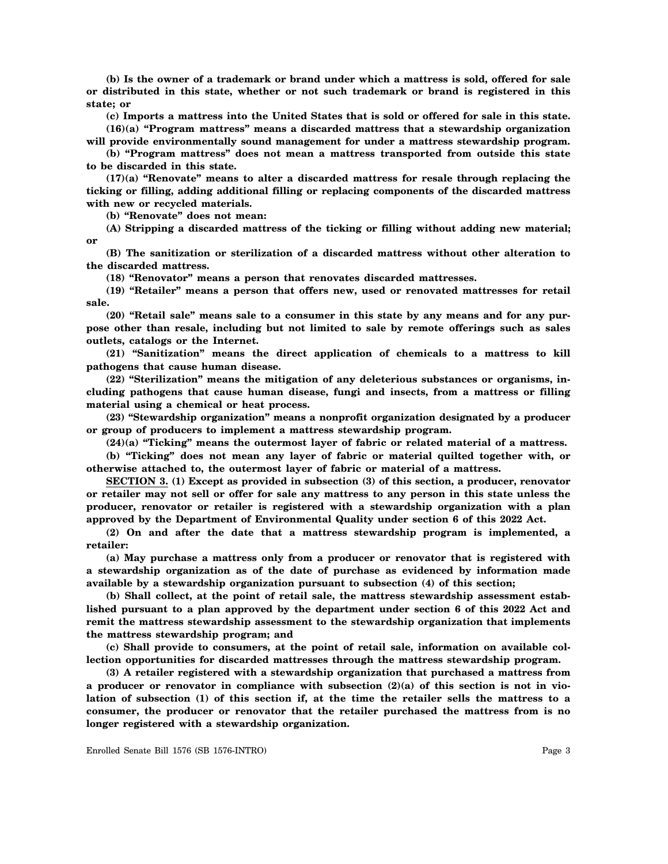**(b) Is the owner of a trademark or brand under which a mattress is sold, offered for sale or distributed in this state, whether or not such trademark or brand is registered in this state; or**

**(c) Imports a mattress into the United States that is sold or offered for sale in this state.**

**(16)(a) "Program mattress" means a discarded mattress that a stewardship organization will provide environmentally sound management for under a mattress stewardship program.**

**(b) "Program mattress" does not mean a mattress transported from outside this state to be discarded in this state.**

**(17)(a) "Renovate" means to alter a discarded mattress for resale through replacing the ticking or filling, adding additional filling or replacing components of the discarded mattress with new or recycled materials.**

**(b) "Renovate" does not mean:**

**(A) Stripping a discarded mattress of the ticking or filling without adding new material; or**

**(B) The sanitization or sterilization of a discarded mattress without other alteration to the discarded mattress.**

**(18) "Renovator" means a person that renovates discarded mattresses.**

**(19) "Retailer" means a person that offers new, used or renovated mattresses for retail sale.**

**(20) "Retail sale" means sale to a consumer in this state by any means and for any purpose other than resale, including but not limited to sale by remote offerings such as sales outlets, catalogs or the Internet.**

**(21) "Sanitization" means the direct application of chemicals to a mattress to kill pathogens that cause human disease.**

**(22) "Sterilization" means the mitigation of any deleterious substances or organisms, including pathogens that cause human disease, fungi and insects, from a mattress or filling material using a chemical or heat process.**

**(23) "Stewardship organization" means a nonprofit organization designated by a producer or group of producers to implement a mattress stewardship program.**

**(24)(a) "Ticking" means the outermost layer of fabric or related material of a mattress.**

**(b) "Ticking" does not mean any layer of fabric or material quilted together with, or otherwise attached to, the outermost layer of fabric or material of a mattress.**

**SECTION 3. (1) Except as provided in subsection (3) of this section, a producer, renovator or retailer may not sell or offer for sale any mattress to any person in this state unless the producer, renovator or retailer is registered with a stewardship organization with a plan approved by the Department of Environmental Quality under section 6 of this 2022 Act.**

**(2) On and after the date that a mattress stewardship program is implemented, a retailer:**

**(a) May purchase a mattress only from a producer or renovator that is registered with a stewardship organization as of the date of purchase as evidenced by information made available by a stewardship organization pursuant to subsection (4) of this section;**

**(b) Shall collect, at the point of retail sale, the mattress stewardship assessment established pursuant to a plan approved by the department under section 6 of this 2022 Act and remit the mattress stewardship assessment to the stewardship organization that implements the mattress stewardship program; and**

**(c) Shall provide to consumers, at the point of retail sale, information on available collection opportunities for discarded mattresses through the mattress stewardship program.**

**(3) A retailer registered with a stewardship organization that purchased a mattress from a producer or renovator in compliance with subsection (2)(a) of this section is not in violation of subsection (1) of this section if, at the time the retailer sells the mattress to a consumer, the producer or renovator that the retailer purchased the mattress from is no longer registered with a stewardship organization.**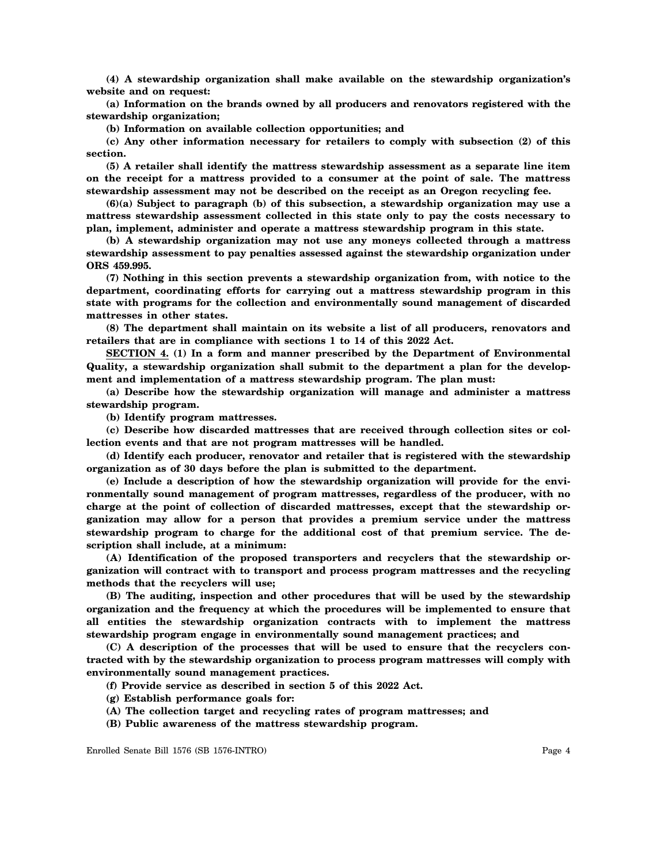**(4) A stewardship organization shall make available on the stewardship organization's website and on request:**

**(a) Information on the brands owned by all producers and renovators registered with the stewardship organization;**

**(b) Information on available collection opportunities; and**

**(c) Any other information necessary for retailers to comply with subsection (2) of this section.**

**(5) A retailer shall identify the mattress stewardship assessment as a separate line item on the receipt for a mattress provided to a consumer at the point of sale. The mattress stewardship assessment may not be described on the receipt as an Oregon recycling fee.**

**(6)(a) Subject to paragraph (b) of this subsection, a stewardship organization may use a mattress stewardship assessment collected in this state only to pay the costs necessary to plan, implement, administer and operate a mattress stewardship program in this state.**

**(b) A stewardship organization may not use any moneys collected through a mattress stewardship assessment to pay penalties assessed against the stewardship organization under ORS 459.995.**

**(7) Nothing in this section prevents a stewardship organization from, with notice to the department, coordinating efforts for carrying out a mattress stewardship program in this state with programs for the collection and environmentally sound management of discarded mattresses in other states.**

**(8) The department shall maintain on its website a list of all producers, renovators and retailers that are in compliance with sections 1 to 14 of this 2022 Act.**

**SECTION 4. (1) In a form and manner prescribed by the Department of Environmental Quality, a stewardship organization shall submit to the department a plan for the development and implementation of a mattress stewardship program. The plan must:**

**(a) Describe how the stewardship organization will manage and administer a mattress stewardship program.**

**(b) Identify program mattresses.**

**(c) Describe how discarded mattresses that are received through collection sites or collection events and that are not program mattresses will be handled.**

**(d) Identify each producer, renovator and retailer that is registered with the stewardship organization as of 30 days before the plan is submitted to the department.**

**(e) Include a description of how the stewardship organization will provide for the environmentally sound management of program mattresses, regardless of the producer, with no charge at the point of collection of discarded mattresses, except that the stewardship organization may allow for a person that provides a premium service under the mattress stewardship program to charge for the additional cost of that premium service. The description shall include, at a minimum:**

**(A) Identification of the proposed transporters and recyclers that the stewardship organization will contract with to transport and process program mattresses and the recycling methods that the recyclers will use;**

**(B) The auditing, inspection and other procedures that will be used by the stewardship organization and the frequency at which the procedures will be implemented to ensure that all entities the stewardship organization contracts with to implement the mattress stewardship program engage in environmentally sound management practices; and**

**(C) A description of the processes that will be used to ensure that the recyclers contracted with by the stewardship organization to process program mattresses will comply with environmentally sound management practices.**

- **(f) Provide service as described in section 5 of this 2022 Act.**
- **(g) Establish performance goals for:**
- **(A) The collection target and recycling rates of program mattresses; and**
- **(B) Public awareness of the mattress stewardship program.**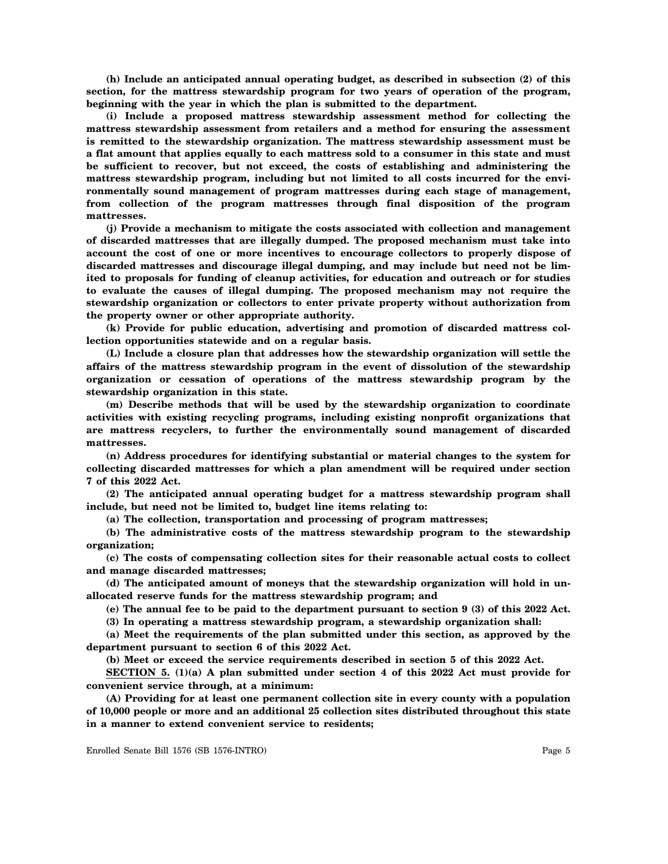**(h) Include an anticipated annual operating budget, as described in subsection (2) of this section, for the mattress stewardship program for two years of operation of the program, beginning with the year in which the plan is submitted to the department.**

**(i) Include a proposed mattress stewardship assessment method for collecting the mattress stewardship assessment from retailers and a method for ensuring the assessment is remitted to the stewardship organization. The mattress stewardship assessment must be a flat amount that applies equally to each mattress sold to a consumer in this state and must be sufficient to recover, but not exceed, the costs of establishing and administering the mattress stewardship program, including but not limited to all costs incurred for the environmentally sound management of program mattresses during each stage of management, from collection of the program mattresses through final disposition of the program mattresses.**

**(j) Provide a mechanism to mitigate the costs associated with collection and management of discarded mattresses that are illegally dumped. The proposed mechanism must take into account the cost of one or more incentives to encourage collectors to properly dispose of discarded mattresses and discourage illegal dumping, and may include but need not be limited to proposals for funding of cleanup activities, for education and outreach or for studies to evaluate the causes of illegal dumping. The proposed mechanism may not require the stewardship organization or collectors to enter private property without authorization from the property owner or other appropriate authority.**

**(k) Provide for public education, advertising and promotion of discarded mattress collection opportunities statewide and on a regular basis.**

**(L) Include a closure plan that addresses how the stewardship organization will settle the affairs of the mattress stewardship program in the event of dissolution of the stewardship organization or cessation of operations of the mattress stewardship program by the stewardship organization in this state.**

**(m) Describe methods that will be used by the stewardship organization to coordinate activities with existing recycling programs, including existing nonprofit organizations that are mattress recyclers, to further the environmentally sound management of discarded mattresses.**

**(n) Address procedures for identifying substantial or material changes to the system for collecting discarded mattresses for which a plan amendment will be required under section 7 of this 2022 Act.**

**(2) The anticipated annual operating budget for a mattress stewardship program shall include, but need not be limited to, budget line items relating to:**

**(a) The collection, transportation and processing of program mattresses;**

**(b) The administrative costs of the mattress stewardship program to the stewardship organization;**

**(c) The costs of compensating collection sites for their reasonable actual costs to collect and manage discarded mattresses;**

**(d) The anticipated amount of moneys that the stewardship organization will hold in unallocated reserve funds for the mattress stewardship program; and**

**(e) The annual fee to be paid to the department pursuant to section 9 (3) of this 2022 Act.**

**(3) In operating a mattress stewardship program, a stewardship organization shall:**

**(a) Meet the requirements of the plan submitted under this section, as approved by the department pursuant to section 6 of this 2022 Act.**

**(b) Meet or exceed the service requirements described in section 5 of this 2022 Act.**

**SECTION 5. (1)(a) A plan submitted under section 4 of this 2022 Act must provide for convenient service through, at a minimum:**

**(A) Providing for at least one permanent collection site in every county with a population of 10,000 people or more and an additional 25 collection sites distributed throughout this state in a manner to extend convenient service to residents;**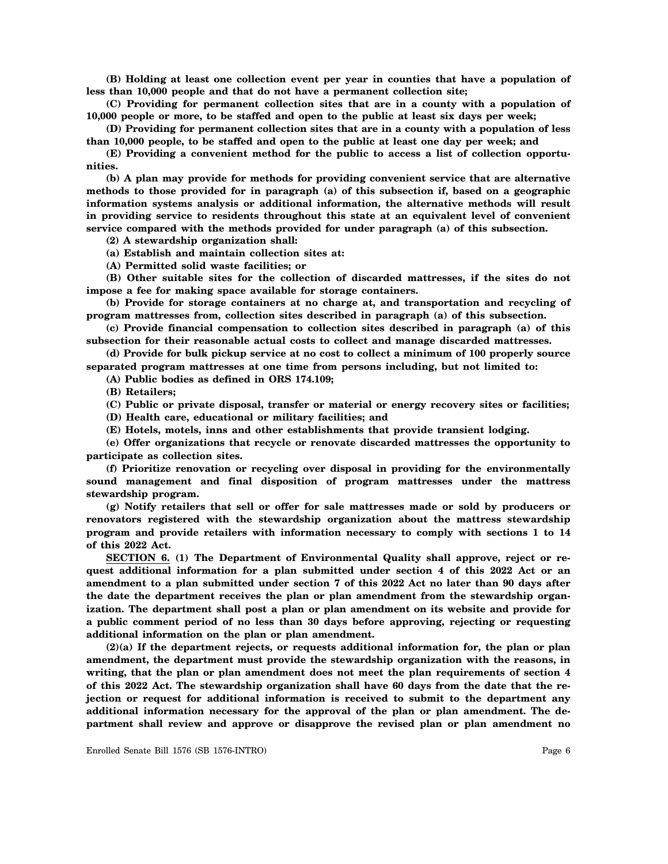**(B) Holding at least one collection event per year in counties that have a population of less than 10,000 people and that do not have a permanent collection site;**

**(C) Providing for permanent collection sites that are in a county with a population of 10,000 people or more, to be staffed and open to the public at least six days per week;**

**(D) Providing for permanent collection sites that are in a county with a population of less than 10,000 people, to be staffed and open to the public at least one day per week; and**

**(E) Providing a convenient method for the public to access a list of collection opportunities.**

**(b) A plan may provide for methods for providing convenient service that are alternative methods to those provided for in paragraph (a) of this subsection if, based on a geographic information systems analysis or additional information, the alternative methods will result in providing service to residents throughout this state at an equivalent level of convenient service compared with the methods provided for under paragraph (a) of this subsection.**

**(2) A stewardship organization shall:**

**(a) Establish and maintain collection sites at:**

**(A) Permitted solid waste facilities; or**

**(B) Other suitable sites for the collection of discarded mattresses, if the sites do not impose a fee for making space available for storage containers.**

**(b) Provide for storage containers at no charge at, and transportation and recycling of program mattresses from, collection sites described in paragraph (a) of this subsection.**

**(c) Provide financial compensation to collection sites described in paragraph (a) of this subsection for their reasonable actual costs to collect and manage discarded mattresses.**

**(d) Provide for bulk pickup service at no cost to collect a minimum of 100 properly source separated program mattresses at one time from persons including, but not limited to:**

**(A) Public bodies as defined in ORS 174.109;**

**(B) Retailers;**

**(C) Public or private disposal, transfer or material or energy recovery sites or facilities;**

**(D) Health care, educational or military facilities; and**

**(E) Hotels, motels, inns and other establishments that provide transient lodging.**

**(e) Offer organizations that recycle or renovate discarded mattresses the opportunity to participate as collection sites.**

**(f) Prioritize renovation or recycling over disposal in providing for the environmentally sound management and final disposition of program mattresses under the mattress stewardship program.**

**(g) Notify retailers that sell or offer for sale mattresses made or sold by producers or renovators registered with the stewardship organization about the mattress stewardship program and provide retailers with information necessary to comply with sections 1 to 14 of this 2022 Act.**

**SECTION 6. (1) The Department of Environmental Quality shall approve, reject or request additional information for a plan submitted under section 4 of this 2022 Act or an amendment to a plan submitted under section 7 of this 2022 Act no later than 90 days after the date the department receives the plan or plan amendment from the stewardship organization. The department shall post a plan or plan amendment on its website and provide for a public comment period of no less than 30 days before approving, rejecting or requesting additional information on the plan or plan amendment.**

**(2)(a) If the department rejects, or requests additional information for, the plan or plan amendment, the department must provide the stewardship organization with the reasons, in writing, that the plan or plan amendment does not meet the plan requirements of section 4 of this 2022 Act. The stewardship organization shall have 60 days from the date that the rejection or request for additional information is received to submit to the department any additional information necessary for the approval of the plan or plan amendment. The department shall review and approve or disapprove the revised plan or plan amendment no**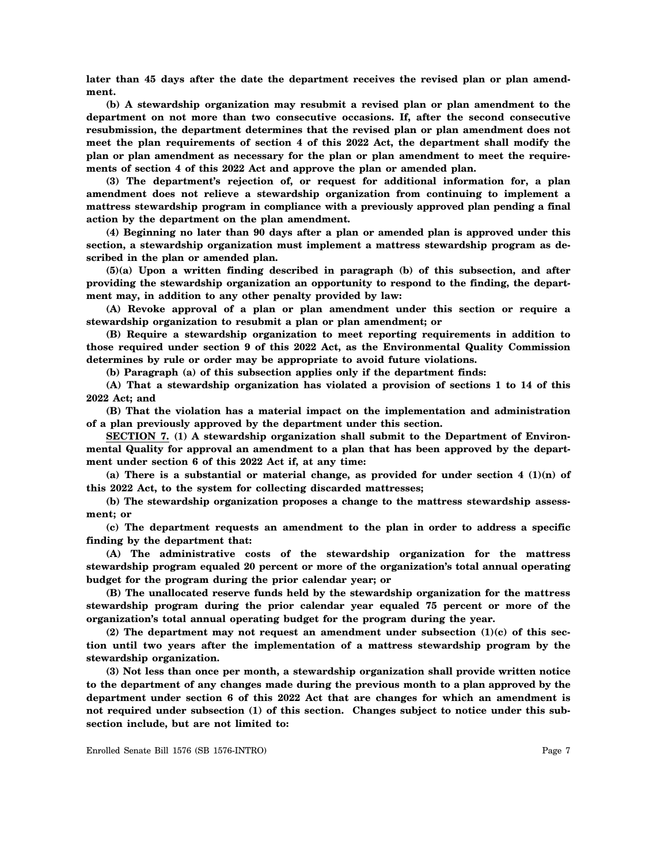**later than 45 days after the date the department receives the revised plan or plan amendment.**

**(b) A stewardship organization may resubmit a revised plan or plan amendment to the department on not more than two consecutive occasions. If, after the second consecutive resubmission, the department determines that the revised plan or plan amendment does not meet the plan requirements of section 4 of this 2022 Act, the department shall modify the plan or plan amendment as necessary for the plan or plan amendment to meet the requirements of section 4 of this 2022 Act and approve the plan or amended plan.**

**(3) The department's rejection of, or request for additional information for, a plan amendment does not relieve a stewardship organization from continuing to implement a mattress stewardship program in compliance with a previously approved plan pending a final action by the department on the plan amendment.**

**(4) Beginning no later than 90 days after a plan or amended plan is approved under this section, a stewardship organization must implement a mattress stewardship program as described in the plan or amended plan.**

**(5)(a) Upon a written finding described in paragraph (b) of this subsection, and after providing the stewardship organization an opportunity to respond to the finding, the department may, in addition to any other penalty provided by law:**

**(A) Revoke approval of a plan or plan amendment under this section or require a stewardship organization to resubmit a plan or plan amendment; or**

**(B) Require a stewardship organization to meet reporting requirements in addition to those required under section 9 of this 2022 Act, as the Environmental Quality Commission determines by rule or order may be appropriate to avoid future violations.**

**(b) Paragraph (a) of this subsection applies only if the department finds:**

**(A) That a stewardship organization has violated a provision of sections 1 to 14 of this 2022 Act; and**

**(B) That the violation has a material impact on the implementation and administration of a plan previously approved by the department under this section.**

**SECTION 7. (1) A stewardship organization shall submit to the Department of Environmental Quality for approval an amendment to a plan that has been approved by the department under section 6 of this 2022 Act if, at any time:**

**(a) There is a substantial or material change, as provided for under section 4 (1)(n) of this 2022 Act, to the system for collecting discarded mattresses;**

**(b) The stewardship organization proposes a change to the mattress stewardship assessment; or**

**(c) The department requests an amendment to the plan in order to address a specific finding by the department that:**

**(A) The administrative costs of the stewardship organization for the mattress stewardship program equaled 20 percent or more of the organization's total annual operating budget for the program during the prior calendar year; or**

**(B) The unallocated reserve funds held by the stewardship organization for the mattress stewardship program during the prior calendar year equaled 75 percent or more of the organization's total annual operating budget for the program during the year.**

**(2) The department may not request an amendment under subsection (1)(c) of this section until two years after the implementation of a mattress stewardship program by the stewardship organization.**

**(3) Not less than once per month, a stewardship organization shall provide written notice to the department of any changes made during the previous month to a plan approved by the department under section 6 of this 2022 Act that are changes for which an amendment is not required under subsection (1) of this section. Changes subject to notice under this subsection include, but are not limited to:**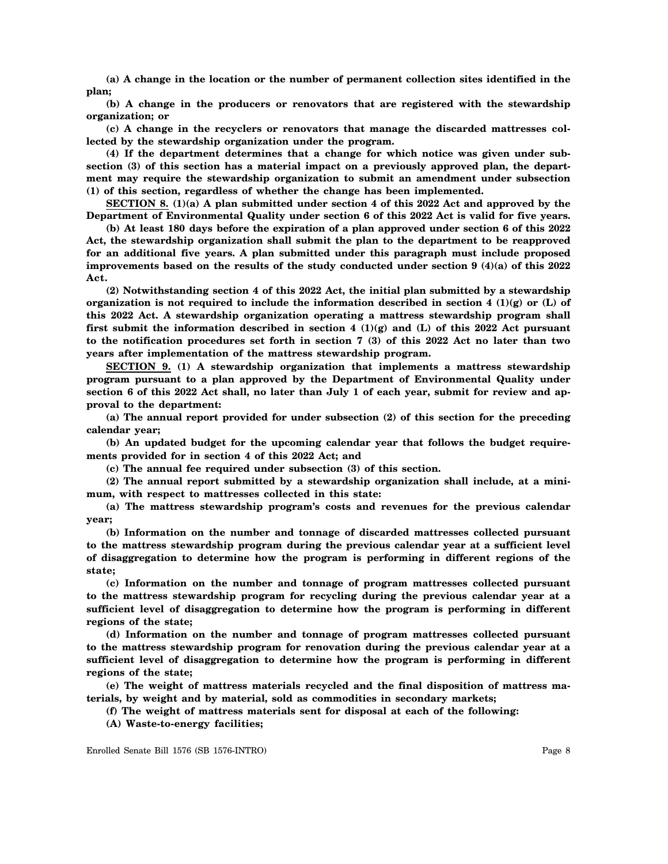**(a) A change in the location or the number of permanent collection sites identified in the plan;**

**(b) A change in the producers or renovators that are registered with the stewardship organization; or**

**(c) A change in the recyclers or renovators that manage the discarded mattresses collected by the stewardship organization under the program.**

**(4) If the department determines that a change for which notice was given under subsection (3) of this section has a material impact on a previously approved plan, the department may require the stewardship organization to submit an amendment under subsection (1) of this section, regardless of whether the change has been implemented.**

**SECTION 8. (1)(a) A plan submitted under section 4 of this 2022 Act and approved by the Department of Environmental Quality under section 6 of this 2022 Act is valid for five years.**

**(b) At least 180 days before the expiration of a plan approved under section 6 of this 2022 Act, the stewardship organization shall submit the plan to the department to be reapproved for an additional five years. A plan submitted under this paragraph must include proposed improvements based on the results of the study conducted under section 9 (4)(a) of this 2022 Act.**

**(2) Notwithstanding section 4 of this 2022 Act, the initial plan submitted by a stewardship organization is not required to include the information described in section 4 (1)(g) or (L) of this 2022 Act. A stewardship organization operating a mattress stewardship program shall first submit the information described in section 4 (1)(g) and (L) of this 2022 Act pursuant to the notification procedures set forth in section 7 (3) of this 2022 Act no later than two years after implementation of the mattress stewardship program.**

**SECTION 9. (1) A stewardship organization that implements a mattress stewardship program pursuant to a plan approved by the Department of Environmental Quality under section 6 of this 2022 Act shall, no later than July 1 of each year, submit for review and approval to the department:**

**(a) The annual report provided for under subsection (2) of this section for the preceding calendar year;**

**(b) An updated budget for the upcoming calendar year that follows the budget requirements provided for in section 4 of this 2022 Act; and**

**(c) The annual fee required under subsection (3) of this section.**

**(2) The annual report submitted by a stewardship organization shall include, at a minimum, with respect to mattresses collected in this state:**

**(a) The mattress stewardship program's costs and revenues for the previous calendar year;**

**(b) Information on the number and tonnage of discarded mattresses collected pursuant to the mattress stewardship program during the previous calendar year at a sufficient level of disaggregation to determine how the program is performing in different regions of the state;**

**(c) Information on the number and tonnage of program mattresses collected pursuant to the mattress stewardship program for recycling during the previous calendar year at a sufficient level of disaggregation to determine how the program is performing in different regions of the state;**

**(d) Information on the number and tonnage of program mattresses collected pursuant to the mattress stewardship program for renovation during the previous calendar year at a sufficient level of disaggregation to determine how the program is performing in different regions of the state;**

**(e) The weight of mattress materials recycled and the final disposition of mattress materials, by weight and by material, sold as commodities in secondary markets;**

**(f) The weight of mattress materials sent for disposal at each of the following:**

**(A) Waste-to-energy facilities;**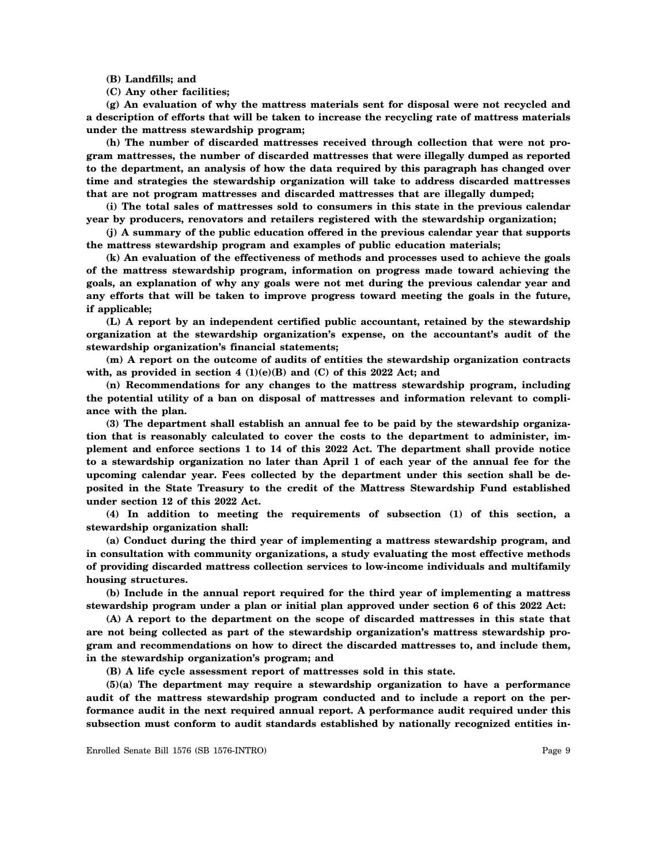**(B) Landfills; and**

**(C) Any other facilities;**

**(g) An evaluation of why the mattress materials sent for disposal were not recycled and a description of efforts that will be taken to increase the recycling rate of mattress materials under the mattress stewardship program;**

**(h) The number of discarded mattresses received through collection that were not program mattresses, the number of discarded mattresses that were illegally dumped as reported to the department, an analysis of how the data required by this paragraph has changed over time and strategies the stewardship organization will take to address discarded mattresses that are not program mattresses and discarded mattresses that are illegally dumped;**

**(i) The total sales of mattresses sold to consumers in this state in the previous calendar year by producers, renovators and retailers registered with the stewardship organization;**

**(j) A summary of the public education offered in the previous calendar year that supports the mattress stewardship program and examples of public education materials;**

**(k) An evaluation of the effectiveness of methods and processes used to achieve the goals of the mattress stewardship program, information on progress made toward achieving the goals, an explanation of why any goals were not met during the previous calendar year and any efforts that will be taken to improve progress toward meeting the goals in the future, if applicable;**

**(L) A report by an independent certified public accountant, retained by the stewardship organization at the stewardship organization's expense, on the accountant's audit of the stewardship organization's financial statements;**

**(m) A report on the outcome of audits of entities the stewardship organization contracts** with, as provided in section  $4 \text{ (1)(e)(B)}$  and  $\text{ (C)}$  of this 2022 Act; and

**(n) Recommendations for any changes to the mattress stewardship program, including the potential utility of a ban on disposal of mattresses and information relevant to compliance with the plan.**

**(3) The department shall establish an annual fee to be paid by the stewardship organization that is reasonably calculated to cover the costs to the department to administer, implement and enforce sections 1 to 14 of this 2022 Act. The department shall provide notice to a stewardship organization no later than April 1 of each year of the annual fee for the upcoming calendar year. Fees collected by the department under this section shall be deposited in the State Treasury to the credit of the Mattress Stewardship Fund established under section 12 of this 2022 Act.**

**(4) In addition to meeting the requirements of subsection (1) of this section, a stewardship organization shall:**

**(a) Conduct during the third year of implementing a mattress stewardship program, and in consultation with community organizations, a study evaluating the most effective methods of providing discarded mattress collection services to low-income individuals and multifamily housing structures.**

**(b) Include in the annual report required for the third year of implementing a mattress stewardship program under a plan or initial plan approved under section 6 of this 2022 Act:**

**(A) A report to the department on the scope of discarded mattresses in this state that are not being collected as part of the stewardship organization's mattress stewardship program and recommendations on how to direct the discarded mattresses to, and include them, in the stewardship organization's program; and**

**(B) A life cycle assessment report of mattresses sold in this state.**

**(5)(a) The department may require a stewardship organization to have a performance audit of the mattress stewardship program conducted and to include a report on the performance audit in the next required annual report. A performance audit required under this subsection must conform to audit standards established by nationally recognized entities in-**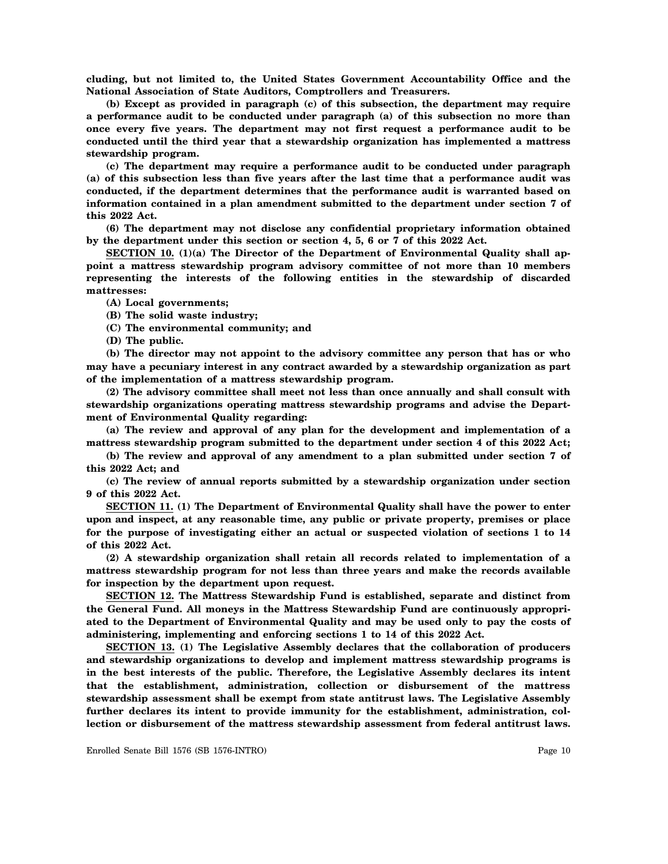**cluding, but not limited to, the United States Government Accountability Office and the National Association of State Auditors, Comptrollers and Treasurers.**

**(b) Except as provided in paragraph (c) of this subsection, the department may require a performance audit to be conducted under paragraph (a) of this subsection no more than once every five years. The department may not first request a performance audit to be conducted until the third year that a stewardship organization has implemented a mattress stewardship program.**

**(c) The department may require a performance audit to be conducted under paragraph (a) of this subsection less than five years after the last time that a performance audit was conducted, if the department determines that the performance audit is warranted based on information contained in a plan amendment submitted to the department under section 7 of this 2022 Act.**

**(6) The department may not disclose any confidential proprietary information obtained by the department under this section or section 4, 5, 6 or 7 of this 2022 Act.**

**SECTION 10. (1)(a) The Director of the Department of Environmental Quality shall appoint a mattress stewardship program advisory committee of not more than 10 members representing the interests of the following entities in the stewardship of discarded mattresses:**

- **(A) Local governments;**
- **(B) The solid waste industry;**
- **(C) The environmental community; and**
- **(D) The public.**

**(b) The director may not appoint to the advisory committee any person that has or who may have a pecuniary interest in any contract awarded by a stewardship organization as part of the implementation of a mattress stewardship program.**

**(2) The advisory committee shall meet not less than once annually and shall consult with stewardship organizations operating mattress stewardship programs and advise the Department of Environmental Quality regarding:**

**(a) The review and approval of any plan for the development and implementation of a mattress stewardship program submitted to the department under section 4 of this 2022 Act;**

**(b) The review and approval of any amendment to a plan submitted under section 7 of this 2022 Act; and**

**(c) The review of annual reports submitted by a stewardship organization under section 9 of this 2022 Act.**

**SECTION 11. (1) The Department of Environmental Quality shall have the power to enter upon and inspect, at any reasonable time, any public or private property, premises or place for the purpose of investigating either an actual or suspected violation of sections 1 to 14 of this 2022 Act.**

**(2) A stewardship organization shall retain all records related to implementation of a mattress stewardship program for not less than three years and make the records available for inspection by the department upon request.**

**SECTION 12. The Mattress Stewardship Fund is established, separate and distinct from the General Fund. All moneys in the Mattress Stewardship Fund are continuously appropriated to the Department of Environmental Quality and may be used only to pay the costs of administering, implementing and enforcing sections 1 to 14 of this 2022 Act.**

**SECTION 13. (1) The Legislative Assembly declares that the collaboration of producers and stewardship organizations to develop and implement mattress stewardship programs is in the best interests of the public. Therefore, the Legislative Assembly declares its intent that the establishment, administration, collection or disbursement of the mattress stewardship assessment shall be exempt from state antitrust laws. The Legislative Assembly further declares its intent to provide immunity for the establishment, administration, collection or disbursement of the mattress stewardship assessment from federal antitrust laws.**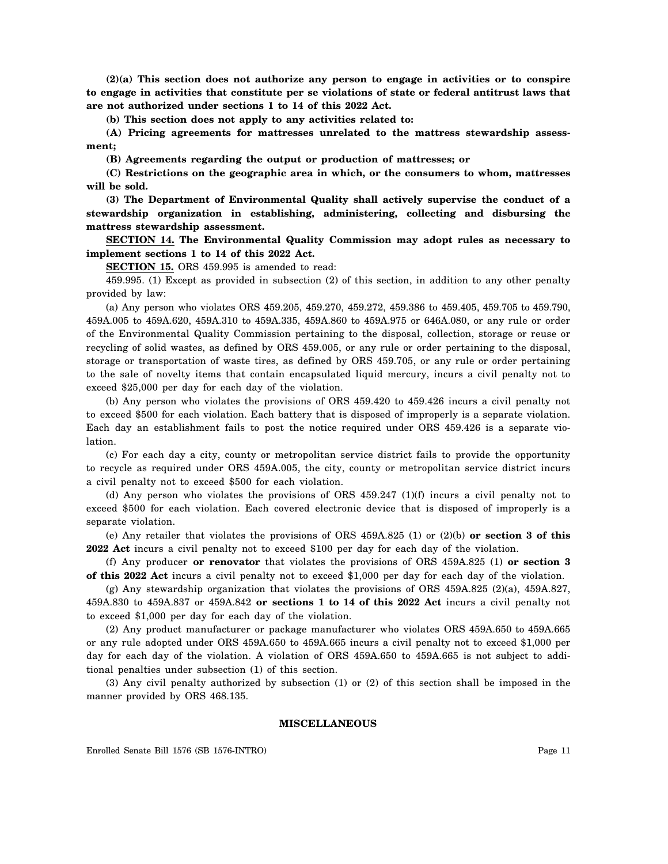**(2)(a) This section does not authorize any person to engage in activities or to conspire to engage in activities that constitute per se violations of state or federal antitrust laws that are not authorized under sections 1 to 14 of this 2022 Act.**

**(b) This section does not apply to any activities related to:**

**(A) Pricing agreements for mattresses unrelated to the mattress stewardship assessment;**

**(B) Agreements regarding the output or production of mattresses; or**

**(C) Restrictions on the geographic area in which, or the consumers to whom, mattresses will be sold.**

**(3) The Department of Environmental Quality shall actively supervise the conduct of a stewardship organization in establishing, administering, collecting and disbursing the mattress stewardship assessment.**

**SECTION 14. The Environmental Quality Commission may adopt rules as necessary to implement sections 1 to 14 of this 2022 Act.**

**SECTION 15.** ORS 459.995 is amended to read:

459.995. (1) Except as provided in subsection (2) of this section, in addition to any other penalty provided by law:

(a) Any person who violates ORS 459.205, 459.270, 459.272, 459.386 to 459.405, 459.705 to 459.790, 459A.005 to 459A.620, 459A.310 to 459A.335, 459A.860 to 459A.975 or 646A.080, or any rule or order of the Environmental Quality Commission pertaining to the disposal, collection, storage or reuse or recycling of solid wastes, as defined by ORS 459.005, or any rule or order pertaining to the disposal, storage or transportation of waste tires, as defined by ORS 459.705, or any rule or order pertaining to the sale of novelty items that contain encapsulated liquid mercury, incurs a civil penalty not to exceed \$25,000 per day for each day of the violation.

(b) Any person who violates the provisions of ORS 459.420 to 459.426 incurs a civil penalty not to exceed \$500 for each violation. Each battery that is disposed of improperly is a separate violation. Each day an establishment fails to post the notice required under ORS 459.426 is a separate violation.

(c) For each day a city, county or metropolitan service district fails to provide the opportunity to recycle as required under ORS 459A.005, the city, county or metropolitan service district incurs a civil penalty not to exceed \$500 for each violation.

(d) Any person who violates the provisions of ORS 459.247 (1)(f) incurs a civil penalty not to exceed \$500 for each violation. Each covered electronic device that is disposed of improperly is a separate violation.

(e) Any retailer that violates the provisions of ORS 459A.825 (1) or (2)(b) **or section 3 of this 2022 Act** incurs a civil penalty not to exceed \$100 per day for each day of the violation.

(f) Any producer **or renovator** that violates the provisions of ORS 459A.825 (1) **or section 3 of this 2022 Act** incurs a civil penalty not to exceed \$1,000 per day for each day of the violation.

(g) Any stewardship organization that violates the provisions of ORS 459A.825 (2)(a), 459A.827, 459A.830 to 459A.837 or 459A.842 **or sections 1 to 14 of this 2022 Act** incurs a civil penalty not to exceed \$1,000 per day for each day of the violation.

(2) Any product manufacturer or package manufacturer who violates ORS 459A.650 to 459A.665 or any rule adopted under ORS 459A.650 to 459A.665 incurs a civil penalty not to exceed \$1,000 per day for each day of the violation. A violation of ORS 459A.650 to 459A.665 is not subject to additional penalties under subsection (1) of this section.

(3) Any civil penalty authorized by subsection (1) or (2) of this section shall be imposed in the manner provided by ORS 468.135.

#### **MISCELLANEOUS**